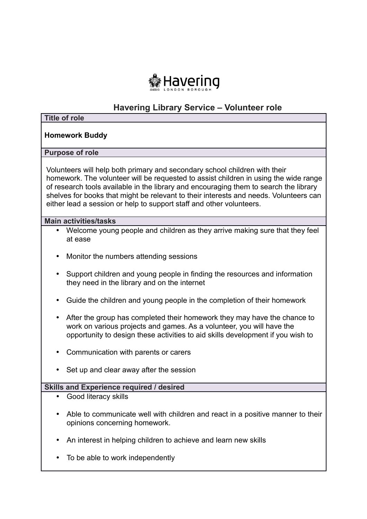

# **Havering Library Service – Volunteer role**

| <b>Title of role</b>                                                                                                                                                                                                                                                                                                                                                                                                         |
|------------------------------------------------------------------------------------------------------------------------------------------------------------------------------------------------------------------------------------------------------------------------------------------------------------------------------------------------------------------------------------------------------------------------------|
| <b>Homework Buddy</b>                                                                                                                                                                                                                                                                                                                                                                                                        |
| <b>Purpose of role</b>                                                                                                                                                                                                                                                                                                                                                                                                       |
| Volunteers will help both primary and secondary school children with their<br>homework. The volunteer will be requested to assist children in using the wide range<br>of research tools available in the library and encouraging them to search the library<br>shelves for books that might be relevant to their interests and needs. Volunteers can<br>either lead a session or help to support staff and other volunteers. |
| <b>Main activities/tasks</b>                                                                                                                                                                                                                                                                                                                                                                                                 |
| Welcome young people and children as they arrive making sure that they feel<br>$\bullet$<br>at ease                                                                                                                                                                                                                                                                                                                          |
| Monitor the numbers attending sessions                                                                                                                                                                                                                                                                                                                                                                                       |
| Support children and young people in finding the resources and information<br>they need in the library and on the internet                                                                                                                                                                                                                                                                                                   |
| Guide the children and young people in the completion of their homework                                                                                                                                                                                                                                                                                                                                                      |
| After the group has completed their homework they may have the chance to<br>work on various projects and games. As a volunteer, you will have the<br>opportunity to design these activities to aid skills development if you wish to                                                                                                                                                                                         |
| Communication with parents or carers                                                                                                                                                                                                                                                                                                                                                                                         |
| Set up and clear away after the session                                                                                                                                                                                                                                                                                                                                                                                      |
| Skills and Experience required / desired                                                                                                                                                                                                                                                                                                                                                                                     |
| Good literacy skills<br>$\bullet$                                                                                                                                                                                                                                                                                                                                                                                            |
| Able to communicate well with children and react in a positive manner to their<br>$\bullet$<br>opinions concerning homework.                                                                                                                                                                                                                                                                                                 |
| An interest in helping children to achieve and learn new skills                                                                                                                                                                                                                                                                                                                                                              |
| To be able to work independently                                                                                                                                                                                                                                                                                                                                                                                             |